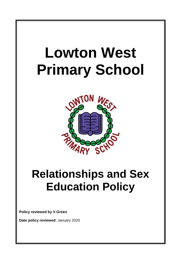# **Lowton West Primary School** ON **Relationships and Sex**

## **Education Policy**

**Policy reviewed by V.Green**

**Date policy reviewed:** January 2020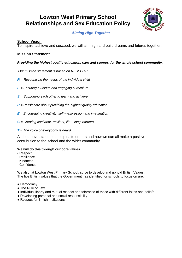#### **Lowton West Primary School Relationships and Sex Education Policy**



#### *Aiming High Together*

#### **School Vision**

To inspire, achieve and succeed, we will aim high and build dreams and futures together.

#### **Mission Statement**

#### *Providing the highest quality education, care and support for the whole school community.*

*Our mission statement is based on RESPECT:*

- *R = Recognising the needs of the individual child*
- *E = Ensuring a unique and engaging curriculum*
- *S = Supporting each other to learn and achieve*
- *P = Passionate about providing the highest quality education*
- *E = Encouraging creativity, self – expression and imagination*
- *C = Creating confident, resilient, life – long learners*
- *T = The voice of everybody is heard*

All the above statements help us to understand how we can all make a positive contribution to the school and the wider community.

#### **We will do this through our core values:**

- Respect
- Resilience
- Kindness
- Confidence

We also, at Lowton West Primary School, strive to develop and uphold British Values. The five British values that the Government has identified for schools to focus on are:

- Democracy
- The Rule of Law
- Individual liberty and mutual respect and tolerance of those with different faiths and beliefs
- Developing personal and social responsibility
- Respect for British Institutions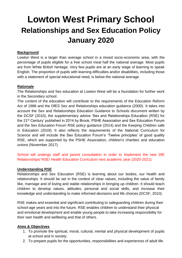### **Lowton West Primary School Relationships and Sex Education Policy January 2020**

#### **Background**

Lowton West is a larger than average school in a mixed socio-economic area, with the percentage of pupils eligible for a free school meal half the national average. Most pupils are from White British heritage. Very few pupils are at an early stage of learning to speak English. The proportion of pupils with learning difficulties and/or disabilities, including those with a statement of special educational need, is below the national average.

#### **Rationale**

The Relationships and Sex education at Lowton West will be a foundation for further work in the Secondary school.

The content of the education will contribute to the requirements of the Education Reform Act of 1988 and the DfES Sex and Relationships education guidance (2000). It takes into account the Sex and Relationships Education Guidance to Schools document written by the DCSF (2010), the supplementary advice 'Sex and Relationships Education (RSE) for the 21st Century' published in 2014 by Brook, PSHE Association and Sex Education Forum and the Sex Education Forum RSE policy guidance (2014) and the Keeping Children safe in Education (2019). It also reflects the requirements of the National Curriculum for Science and will include the Sex Education Forum's 'Twelve principles' of good quality RSE, which are supported by the PSHE Association, children's charities and education unions (November 2017).

School will undergo staff and parent consultation in order to implement the new DfE Relationships/ RSE/ Health Education Curriculum next academic year (2020-2021).

#### **Understanding RSE**

Relationships and Sex Education (RSE) is learning about our bodies, our health and relationships. It should be set in the context of clear values, including the value of family like, marriage and of loving and stable relationships in bringing up children. It should teach children to develop values, attitudes, personal and social skills, and increase their knowledge and understanding to make informed decisions and life choices (DCSF, 2010).

RSE makes and essential and significant contributing to safeguarding children during their school-age years and into the future. RSE enables children to understand their physical and emotional development and enable young people to take increasing responsibility for their own health and wellbeing and that of others.

#### **Aims & Objectives**

- 1. To promote the spiritual, moral, cultural, mental and physical development of pupils at school and in society.
- 2. To prepare pupils for the opportunities, responsibilities and experiences of adult life.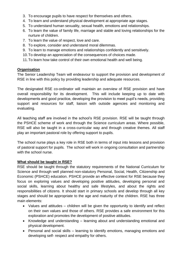- 3. To encourage pupils to have respect for themselves and others.
- 4. To learn and understand physical development at appropriate age stages.
- 5. To understand human sexuality, sexual health, emotions and relationships.
- 6. To learn the value of family life, marriage and stable and loving relationships for the nurture of children.
- 7. To learn the value of respect, love and care.
- 8. To explore, consider and understand moral dilemmas.
- 9. To learn to manage emotions and relationships confidently and sensitively.
- 10.To develop an appreciation of the consequences of choices made.
- 11.To learn how take control of their own emotional health and well being.

#### **Organisation**

The Senior Leadership Team will endeavour to support the provision and development of RSE in line with this policy by providing leadership and adequate resources.

The designated RSE co-ordinator will maintain an overview of RSE provision and have overall responsibility for its development. This will include keeping up to date with developments and good practice, developing the provision to meet pupil's needs, providing support and resources for staff, liaison with outside agencies and monitoring and evaluating.

All teaching staff are involved in the school's RSE provision. RSE will be taught through the PSHCE scheme of work and through the Science curriculum areas. Where possible, RSE will also be taught in a cross-curricular way and through creative themes. All staff play an important pastoral role by offering support to pupils.

The school nurse plays a key role in RSE both in terms of input into lessons and provision of pastoral support for pupils. The school will work in ongoing consultation and partnership with the school nurse.

#### **What should be taught in RSE?**

RSE should be taught through the statutory requirements of the National Curriculum for Science and through well planned non-statutory Personal, Social, Health, Citizenship and Economic (PSHCE) education. PSHCE provide an effective context for RSE because they focus on exploring values and developing positive attitudes, developing personal and social skills, learning about healthy and safe lifestyles, and about the rights and responsibilities of citizens. It should start in primary schools and develop through all key stages and should be appropriate to the age and maturity of the children. RSE has three main elements:

- Values and attitudes children will be given the opportunity to identify and reflect on their own values and those of others. RSE provides a safe environment for this exploration and promotes the development of positive attitudes.
- Knowledge and understanding learning about and understanding emotional and physical development.
- Personal and social skills learning to identify emotions, managing emotions and developing self- respect and empathy for others.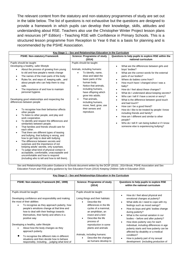The relevant content from the statutory and non-statutory programmes of study are set out in the table below. The list of questions is not exhaustive but the questions are designed to provide a framework in which pupils can develop their knowledge, skills, attitudes and understanding about RSE. Teachers also use the Christopher Winter Project lesson plans and resources (4th Edition) - Teaching RSE with Confidence in Primary Schools. This is a structured lesson programme from Reception to Year 6 that is a basis for planning and is recommended by the PSHE Association.

| <b>PSHE: Non-statutory Framework</b><br>Science: Programme of study<br>(2014)                                                                                                                                                                                                                                                                                                                                                                                                                                                                                                                                                                                                                                                                                                                                                                                                                                                                                                                                                                                                                                                                                                                                                                                                                                                                                                                                                                                                                                                                                                                                               | Questions to help pupils to explore RSE within the<br>national curriculum                                                                                                                                                                                                                                                                                                                                                                                                                                                                                                                                                                                                                                                             |
|-----------------------------------------------------------------------------------------------------------------------------------------------------------------------------------------------------------------------------------------------------------------------------------------------------------------------------------------------------------------------------------------------------------------------------------------------------------------------------------------------------------------------------------------------------------------------------------------------------------------------------------------------------------------------------------------------------------------------------------------------------------------------------------------------------------------------------------------------------------------------------------------------------------------------------------------------------------------------------------------------------------------------------------------------------------------------------------------------------------------------------------------------------------------------------------------------------------------------------------------------------------------------------------------------------------------------------------------------------------------------------------------------------------------------------------------------------------------------------------------------------------------------------------------------------------------------------------------------------------------------------|---------------------------------------------------------------------------------------------------------------------------------------------------------------------------------------------------------------------------------------------------------------------------------------------------------------------------------------------------------------------------------------------------------------------------------------------------------------------------------------------------------------------------------------------------------------------------------------------------------------------------------------------------------------------------------------------------------------------------------------|
|                                                                                                                                                                                                                                                                                                                                                                                                                                                                                                                                                                                                                                                                                                                                                                                                                                                                                                                                                                                                                                                                                                                                                                                                                                                                                                                                                                                                                                                                                                                                                                                                                             |                                                                                                                                                                                                                                                                                                                                                                                                                                                                                                                                                                                                                                                                                                                                       |
|                                                                                                                                                                                                                                                                                                                                                                                                                                                                                                                                                                                                                                                                                                                                                                                                                                                                                                                                                                                                                                                                                                                                                                                                                                                                                                                                                                                                                                                                                                                                                                                                                             |                                                                                                                                                                                                                                                                                                                                                                                                                                                                                                                                                                                                                                                                                                                                       |
| Pupils should be taught:<br>Pupils should be taught:                                                                                                                                                                                                                                                                                                                                                                                                                                                                                                                                                                                                                                                                                                                                                                                                                                                                                                                                                                                                                                                                                                                                                                                                                                                                                                                                                                                                                                                                                                                                                                        |                                                                                                                                                                                                                                                                                                                                                                                                                                                                                                                                                                                                                                                                                                                                       |
| Developing a healthy, safer lifestyle<br>Animals, including humans:<br>About the process of growing from young<br>$\bullet$<br>to old and how people's needs change<br>To identify, name,<br>$\bullet$<br>draw and label the<br>The names of the main parts of the body<br>٠<br>basic parts of the<br>Rules for, and ways of, keeping safeand<br>$\bullet$<br>human body.<br>about people who can help them to stay<br>Notice that animals,<br>safe.<br>$\bullet$<br>including humans,<br>The importance of and how to maintain<br>$\bullet$<br>personal hygiene.<br>have offspring which<br>grow into adults.<br>That animals,<br>Developing good relationships and respecting the<br>$\bullet$<br>differences between people<br>including humans,<br>move, feed, grow, use<br>their senses and<br>To recognise how their behaviour affects<br>$\bullet$<br>reproduce.<br>other people<br>To listen to other people, and play and<br>$\bullet$<br>work cooperative.<br>To identify and respect the differences and<br>$\bullet$<br>similarities between people.<br>That families and friends should care for<br>$\bullet$<br>each other.<br>That there are different types of teasing<br>$\bullet$<br>and bullying, that bullying is wrong, and<br>how to get help to deal with bullying<br>The difference between secrets and<br>$\bullet$<br>surprises and the importance of not<br>keeping adults' secrets, only surprises.<br>To judge what kind of physical contact is<br>$\bullet$<br>acceptable, comfortable, unacceptable and<br>uncomfortable and how to respond<br>(including who to tell and how to tell them). | What are the differences between girls and<br>boys' bodies?<br>What are the correct words for the external<br>parts of our bodies?<br>Where do babies come from?<br>How much have I changed since I was a<br>baby?<br>How do I feel about these changes?<br>$\bullet$<br>What do I understand about keeping secrets?<br>$\bullet$<br>Who can I tell if I have a secret or worry?<br>$\bullet$<br>What is the difference between good touch<br>and bad touch?<br>How can I be a good friend?<br>How do I like to be treated by people I know<br>٠<br>including friends and family?<br>How am I different and similar to other<br>people?<br>Who do I tell if I am being bullied or if I know<br>someone else is experiencing bullying? |

Sex and Relationships Education Guidance to Schools document written by the DCSF (2010) , 2014 Brook, PSHE Association and Sex Education Forum and RSE policy guidance by Sex Education Forum (2014) Keeping Children Safe in Education 2019.

| Key Stage 2 - Sex and Relationships Education in the Curriculum                                                                                                                                                                                                                                                               |                                                                                                                                                                                                             |                                                                                                                                                                                                                                                                                                                                                                                                                                                                                                                                                                                                                           |  |  |  |  |  |
|-------------------------------------------------------------------------------------------------------------------------------------------------------------------------------------------------------------------------------------------------------------------------------------------------------------------------------|-------------------------------------------------------------------------------------------------------------------------------------------------------------------------------------------------------------|---------------------------------------------------------------------------------------------------------------------------------------------------------------------------------------------------------------------------------------------------------------------------------------------------------------------------------------------------------------------------------------------------------------------------------------------------------------------------------------------------------------------------------------------------------------------------------------------------------------------------|--|--|--|--|--|
| PSHE: Non-statutory Framework (NC, 1999)                                                                                                                                                                                                                                                                                      | Science: Programme of study<br>(2014)                                                                                                                                                                       | Questions to help pupils to explore RSE<br>within the national curriculum                                                                                                                                                                                                                                                                                                                                                                                                                                                                                                                                                 |  |  |  |  |  |
| Pupils should be taught:<br>Developing confidence and responsibility and making<br>the most of their abilities<br>To recognise as they approach puberty, how<br>$\bullet$<br>people's emotions change at that time and<br>how to deal with their feelings towards<br>themselves, their family and others in a<br>positive way | Pupils should be taught:<br>Living things and their habitats:<br>Describe the<br>differences in the life<br>cycles of a mammal,<br>an amphibian, an<br>insect and a bird<br>Describe the life<br>process of | How do I feel about physical and<br>$\bullet$<br>emotional changes at puberty?<br>What skills do I need to cope with my<br>$\bullet$<br>feelings such as mood swings?<br>How do boys and girls' bodies change<br>$\bullet$<br>during puberty?<br>What is the normal variation in our<br>$\bullet$<br>bodies – before and after puberty?<br>How does puberty vary for each<br>$\bullet$<br>individual, including differences in age<br>puberty starts and how puberty can be<br>affected by disability or a medical<br>condition?<br>How is puberty part of my sexual<br>$\bullet$<br>development (including production of |  |  |  |  |  |
| Developing a healthy, safer lifestyle<br>About how the body changes as they<br>approach puberty.<br>To recognise the different risks in different<br>situations and then decide how to behave<br>responsibly, including judging what kind of                                                                                  | reproduction in some<br>plants and animals<br>Animals, including humans:<br>Describe the changes<br>as humans develop to                                                                                    |                                                                                                                                                                                                                                                                                                                                                                                                                                                                                                                                                                                                                           |  |  |  |  |  |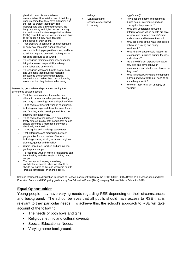| $\bullet$<br>٠<br>$\bullet$<br>$\bullet$ | physical contact is acceptable and<br>unacceptable . How to take care of their body,<br>understanding that they have autonomy and<br>the right to protect their body from<br>inappropriate and unwanted contact, their<br>body autonomy and rights; understanding<br>that actions such as female genital mutilation<br>(FGM) constitute abuse, are a crime and how<br>to get support if they have fears for<br>themselves or their peers.<br>That pressure to behave in an unacceptable<br>or risky way can come from a variety of<br>sources, including people they know, and how<br>to ask for help and use basic techniques for<br>resisting pressure to do wrong.<br>To recognise their increasing independence<br>brings increased responsibility to keep<br>themselves and others safe.<br>To recognise when and how to ask for help<br>and use basic techniques for resisting<br>pressure to do something dangerous,<br>unhealthy, that makes them uncomfortable,<br>anxious or that they believe to be wrong.<br>Developing good relationships and respecting the<br>differences between people<br>That their actions affect themselves and<br>others, to care about other people's feelings<br>and to try to see things from their point of view<br>To be aware of different types of relationship,<br>including marriage and those between friends<br>and families, and to develop the skills to be<br>effective in relationships.<br>To be aware that marriage is a commitment<br>freely entered into by both people, that no one<br>should enter into a marriage if they don't<br>absolutely want to do so.<br>To recognise and challenge stereotypes<br>That differences and similarities between<br>people arise from a number of factors,<br>including cultural, ethnic, racial and religious<br>diversity, gender and disability<br>Where individuals, families and groups can<br>get help and support.<br>To recognise ways in which a relationship can<br>be unhealthy and who to talk to if they need<br>support.<br>The concept of 'keeping something<br>confidential or secret', when we should or<br>should not agree to this and when it is right to | old age.<br>Learn about the<br>changes experienced<br>in puberty. | $\bullet$<br>$\bullet$<br>$\bullet$ | eggs/sperm)?<br>How does the sperm and egg meet<br>during sexual intercourse and can<br>conception be prevented?<br>What do I understand about the<br>different ways in which people are able<br>to show love between parents/carers<br>and children and between friends?<br>What are some of the ways that people<br>behave in a loving and happy<br>relationship?<br>What kinds of abuse could happen in<br>relationships, including hurting feelings<br>and violence?<br>Are there different expectations about<br>how girls and boys behave in<br>relationships and what other choices do<br>they have?<br>What is sexist bullying and homophobic<br>bullying and what skills do I need to do<br>something about it?<br>Who can I talk to if I am unhappy or<br>worried? |
|------------------------------------------|-----------------------------------------------------------------------------------------------------------------------------------------------------------------------------------------------------------------------------------------------------------------------------------------------------------------------------------------------------------------------------------------------------------------------------------------------------------------------------------------------------------------------------------------------------------------------------------------------------------------------------------------------------------------------------------------------------------------------------------------------------------------------------------------------------------------------------------------------------------------------------------------------------------------------------------------------------------------------------------------------------------------------------------------------------------------------------------------------------------------------------------------------------------------------------------------------------------------------------------------------------------------------------------------------------------------------------------------------------------------------------------------------------------------------------------------------------------------------------------------------------------------------------------------------------------------------------------------------------------------------------------------------------------------------------------------------------------------------------------------------------------------------------------------------------------------------------------------------------------------------------------------------------------------------------------------------------------------------------------------------------------------------------------------------------------------------------------------------------------------------------------------------------------------------------|-------------------------------------------------------------------|-------------------------------------|------------------------------------------------------------------------------------------------------------------------------------------------------------------------------------------------------------------------------------------------------------------------------------------------------------------------------------------------------------------------------------------------------------------------------------------------------------------------------------------------------------------------------------------------------------------------------------------------------------------------------------------------------------------------------------------------------------------------------------------------------------------------------|
|                                          | 'break a confidence' or 'share a secret.                                                                                                                                                                                                                                                                                                                                                                                                                                                                                                                                                                                                                                                                                                                                                                                                                                                                                                                                                                                                                                                                                                                                                                                                                                                                                                                                                                                                                                                                                                                                                                                                                                                                                                                                                                                                                                                                                                                                                                                                                                                                                                                                    |                                                                   |                                     |                                                                                                                                                                                                                                                                                                                                                                                                                                                                                                                                                                                                                                                                                                                                                                              |

Sex and Relationships Education Guidance to Schools document written by the DCSF (2010) , 2014 Brook, PSHE Association and Sex Education Forum and RSE policy guidance by Sex Education Forum (2014) Keeping Children Safe in Education 2019.

#### **Equal Opportunities**

Young people may have varying needs regarding RSE depending on their circumstances and background. The school believes that all pupils should have access to RSE that is relevant to their particular needs. To achieve this, the school's approach to RSE will take account of the following:

- The needs of both boys and girls.
- Religious, ethnic and cultural diversity.
- Special Educational Needs.
- Varying home background.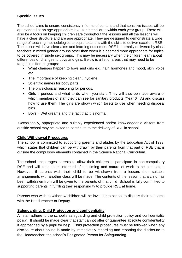#### **Specific Issues**

The school aims to ensure consistency in terms of content and that sensitive issues will be approached at an age-appropriate level for the children within each year group. There will also be a focus on keeping children safe throughout the lessons and all the lessons will have a clear structure and are age appropriate. They are designed to demonstrate a wide range of teaching methodologies to equip teachers with the skills to deliver excellent RSE. The lesson will have clear aims and learning outcomes. RSE is normally delivered by class teachers in mixed gender groups other than when it is deemed more appropriate for topics to be covered in single sex groups. This may be necessary when the children learn about differences or changes to boys and girls. Below is a list of areas that may need to be taught in different groups:

- What changes happen to boys and girls e.g. hair, hormones and mood, skin, voice etc.
- The importance of keeping clean / hygiene.
- Scientific names for body parts.
- The physiological reasoning for periods.
- Girls = periods and what to do when you start. They will also be made aware of which members of staff they can see for sanitary products (Year 6 TA) and discuss how to use them. The girls are shown which toilets to use when needing disposal bins.
- $\bullet$  Boys = Wet dreams and the fact that it is normal.

Occasionally, appropriate and suitably experienced and/or knowledgeable visitors from outside school may be invited to contribute to the delivery of RSE in school.

#### **Child Withdrawal Procedures**

The school is committed to supporting parents and abides by the Education Act of 1993, which states that children can be withdrawn by their parents from that part of RSE that is outside the compulsory elements contained in the Science National Curriculum.

The school encourages parents to allow their children to participate in non-compulsory RSE and will keep them informed of the timing and nature of work to be completed. However, if parents wish their child to be withdrawn from a lesson, then suitable arrangements with another class will be made. The contents of the lesson that a child has been withdrawn from will be given to the parents of that child. School is fully committed to supporting parents in fulfilling their responsibility to provide RSE at home.

Parents who wish to withdraw children will be invited into school to discuss their concerns with the Head teacher or Deputy.

#### **Safeguarding, Child Protection and confidentiality**

All staff adhere to the school's safeguarding and child protection policy and confidentiality policy. It should be made clear that staff cannot offer or guarantee absolute confidentiality if approached by a pupil for help. Child protection procedures must be followed when any disclosure about abuse is made by immediately recording and reporting the disclosure to the Headteacher, the school's Designated Person for Safeguarding.